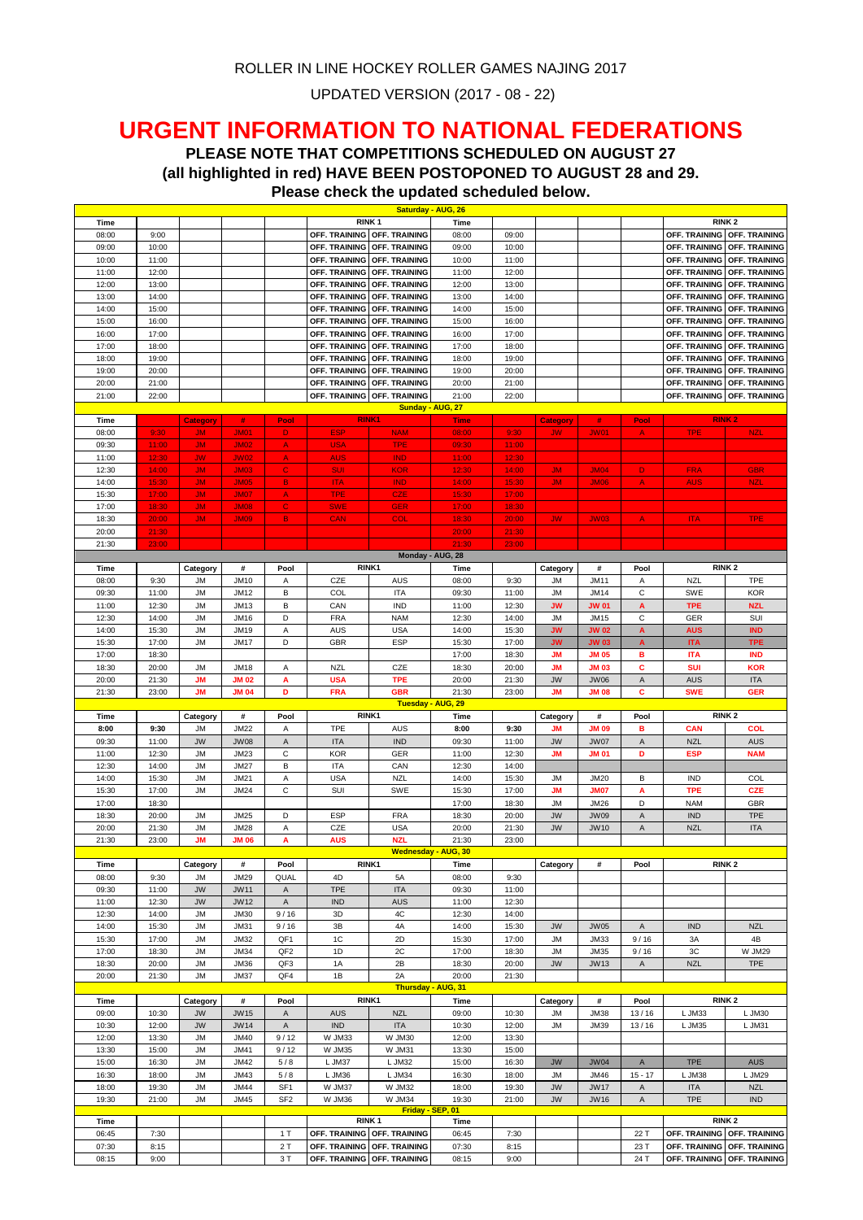UPDATED VERSION (2017 - 08 - 22)

## **URGENT INFORMATION TO NATIONAL FEDERATIONS**

**PLEASE NOTE THAT COMPETITIONS SCHEDULED ON AUGUST 27 (all highlighted in red) HAVE BEEN POSTOPONED TO AUGUST 28 and 29.** 

**Time Time** 08:00 9:00 **OFF. TRAINING** OFF. TRAINING **OFF. TRAINING** 08:00 09:00 09:00 **OFF. TRAINING** OFF. TRAINING 09:00 10:00 **OFF. TRAINING OFF. TRAINING** 09:00 10:00 **OFF. TRAINING OFF. TRAINING** 10:00 11:00 **OFF. TRAINING OFF. TRAINING** 10:00 11:00 **OFF. TRAINING OFF. TRAINING** 11:00 12:00 **OFF. TRAINING OFF. TRAINING** 11:00 12:00 **OFF. TRAINING OFF. TRAINING** 12:00 13:00 **OFF. TRAINING OFF. TRAINING** 12:00 13:00 **OFF. TRAINING OFF. TRAINING** 13:00 14:00 **11:00 OFF. TRAINING** OFF. TRAINING OFF. TRAINING 13:00 14:00 15:00 **OFF. TRAINING** OFF. TRAINING<br>14:00 15:00 **15:00 OFF. TRAINING** OFF. TRAINING OFF. TRAINING 14:00 15:00 15:00 **OFF. TRAINING OFF. TRAINING** 14:00 15:00 15:00 **OFF. TRAINING** OFF. TRAINING 15:00 16:00 **OFF. TRAINING OFF. TRAINING** 15:00 16:00 **OFF. TRAINING OFF. TRAINING** 16:00 17:00 **OFF. TRAINING OFF. TRAINING** 16:00 17:00 **OFF. TRAINING OFF. TRAINING** 17:00 18:00 **OFF. TRAINING OFF. TRAINING** 17:00 18:00 **OFF. TRAINING OFF. TRAINING** 18:00 19:00 **OFF. TRAINING OFF. TRAINING** 18:00 19:00 **OFF. TRAINING OFF. TRAINING** 19:00 20:00 **OFF. TRAINING OFF. TRAINING** 19:00 20:00 **OFF. TRAINING OFF. TRAINING** 20:00 21:00 **OFF. TRAINING OFF. TRAINING** 20:00 21:00 **OFF. TRAINING OFF. TRAINING** 21:00 22:00 **OFF. TRAINING OFF. TRAINING** 21:00 22:00 **OFF. TRAINING OFF. TRAINING Time Category # Pool Time Category # Pool** 08:00 9:30 JJM JJM01 D L ESP J NAM | 08:00 | 9:30 JJW JJW01 | A | TPE | NZL 09:30 | 11:00 | JM | JM02 | A | USA | TPE | 09:30 | 11:00 11:00 | 12:30 | JW | JW02 | A | AUS | IND | 11:00 | 12:30 12:30 | 14:00 | JM | JM03 | C | SUI | KOR | 12:30 | 14:00 | JM | JM04 | D | FRA | GBR 14:00 | 15:30 | JM | JM05 | B | ITA | IND | 14:00 | 15:30 | JM | JM06 | A | AUS | NZL 15:30 | 17:00 | JM | JM07 | A | TPE | CZE | 15:30 | 17:00 17:00 | 18:30 | JM | JM08 | C | SWE | GER | 17:00 | 18:30 18:30 <mark>20:00 JM JJM09 B CAN | COL | 18:30 | 20:00 | JW | JW03 | A | ITA | TPE</mark> 20:00 **21:30 | | | | |** | | | | | 20:00 | 21:30 21:30 <mark>23:00 | | | | |</mark> | | | | | | 21:30 | 23:00 **Time Category # Pool Time Category # Pool** 08:00 | 9:30 | JM | JM10 | A | CZE | AUS | 08:00 | 9:30 | JM | JM11 | A | NZL | TPE 09:30 | 11:00 | JM | JM12 | B | COL | ITA | 09:30 | 11:00 | JM | JM14 | C | SWE | KOR 11:00 12:30 JM JM13 B CAN IND 11:00 12:30 **JW JW 01 A TPE NZL** 12:30 | 14:00 | JM | JM16 | D | FRA | NAM | 12:30 | 14:00 | JM | JM15 | C | GER | SUI 14:00 15:30 JM JM19 A AUS USA 14:00 15:30 **JW JW 02 A AUS IND** 15:30 17:00 JM JM17 D GBR ESP 15:30 17:00 **JW JW 03 A ITA TPE** 17:00 18:30 17:00 18:30 **JM JM 05 B ITA IND** 18:30 20:00 JM JM18 A NZL CZE 18:30 20:00 **JM JM 03 C SUI KOR** 20:00 21:30 **JM JM 02 A USA TPE** 20:00 21:30 JW JW06 A AUS ITA 21:30 23:00 **JM JM 04 D FRA GBR** 21:30 23:00 **JM JM 08 C SWE GER Time Category # Pool Time Category # Pool 8:00 9:30** JM JM22 A TPE AUS **8:00 9:30 JM JM 09 B CAN COL** 09:30 | 11:00 | JW | JW08 | A | ITA | IND | 09:30 | 11:00 | JW | JW07 | A | NZL | AUS 11:00 12:30 JM JM23 C KOR GER 11:00 12:30 **JM JM 01 D ESP NAM** 12:30 | 14:00 | JM | JM27 | B | ITA | CAN | 12:30 | 14:00 14:00 | 15:30 | JM | JM21 | A | USA | NZL | 14:00 | 15:30 | JM | JM20 | B | IND | COL 15:30 17:00 JM JM24 C SUI SWE 15:30 17:00 **JM JM07 A TPE CZE** 17:00 | 18:30 | | | | | 17:00 | 18:30 | JM | JM26 | D | NAM | GBR 18:30 | 20:00 | JM | JM25 | D | ESP | FRA | 18:30 | 20:00 | JW | JW09 | A | IND | TPE 20:00 | 21:30 | JM | JM28 | A | CZE | USA | 20:00 | 21:30 | JW | JW10 | A | NZL | ITA 21:30 23:00 **JM JM 06 A AUS NZL** 21:30 23:00 **Time Category # Pool Time Category # Pool** 08:00 | 9:30 | JM | JM29 | QUAL | 4D | 5A | 08:00 | 9:30 09:30 11:00 JW JW11 A TPE ITA 09:30 11:00 11:00 | 12:30 | JW | JW12 | A | IND | AUS | 11:00 | 12:30 12:30 | 14:00 | JM | JM30 | 9/16 | 3D | 4C | 12:30 | 14:00 14:00 | 15:30 | JM | JM31 | 9/16 | 3B | 4A | 14:00 | 15:30 | JW | JW05 | A | IND | NZL 15:30 | 17:00 | JM | JM32 | QF1 | 1C | 2D | 15:30 | 17:00 | JM | JM33 | 9/16 | 3A | 4B 17:00 | 18:30 | JM | JM34 | QF2 | 1D | 2C | 17:00 | 18:30 | JM | JM35 | 9/16 | 3C | W JM29 18:30 | 20:00 | JM | JM36 | QF3 | 1A | 2B | 18:30 | 20:00 | JW | JW13 | A | NZL | TPE 20:00 21:30 JM JM37 QF4 1B 2A 20:00 21:30 **Time Category # Pool Time Category # Pool** 09:00 | 10:30 | JW | JW15 | A | AUS | NZL | 09:00 | 10:30 | JM | JM38 | 13 / 16 | L<code>JM33 | LJM3C</code> 10:30 | 12:00 | JW | JW14 | A | IND | ITA | 10:30 | 12:00 | JM | JM39 | 13 / 16 | L<code>JM35 | LJM31</code> 12:00 | 13:30 | JM | JM40 | 9/12 | W JM33 | W JM30 | 12:00 | 13:30 13:30 | 15:00 | JM | JM41 | 9/12 | W JM35 | W JM31 | 13:30 | 15:00 15:00 | 16:30 | JM | JM42 | 5 /8 | LJM37 | LJM32 | 15:00 | 16:30 | JW | JW04 | A | TPE | AUS **Tuesday - AUG, 29 RINK1 RINK 2 Thursday - AUG, 31 RINK1 RINK 2 Monday - AUG, 28 RINK1 RINK 2 RINK1 RINK 2 Wednesday - AUG, 30 RINK1 RINK2 RINK2 JG. 27 S.** 26 **RINK 1 RINK 2 Please check the updated scheduled below.** 

| 16:30 | 18:00                                      | <b>JM</b> | JM43        | 5/8             | $\_$ JM36                          | L JM34           | 16:30 | 18:00 | <b>JM</b> | JM46        | $15 - 17$    | L JM38                             | L JM29     |
|-------|--------------------------------------------|-----------|-------------|-----------------|------------------------------------|------------------|-------|-------|-----------|-------------|--------------|------------------------------------|------------|
| 18:00 | 19:30                                      | <b>JM</b> | <b>JM44</b> | SF <sub>1</sub> | W JM37                             | W JM32           | 18:00 | 19:30 | <b>JW</b> | <b>JW17</b> | $\mathsf{A}$ | <b>ITA</b>                         | <b>NZL</b> |
| 19:30 | 21:00                                      | <b>JM</b> | <b>JM45</b> | SF <sub>2</sub> | W JM36                             | W JM34           | 19:30 | 21:00 | <b>JW</b> | <b>JW16</b> | $\mathsf{A}$ | <b>TPE</b>                         | <b>IND</b> |
|       |                                            |           |             |                 |                                    | Friday - SEP. 01 |       |       |           |             |              |                                    |            |
|       | <b>RINK 2</b><br>RINK <sub>1</sub><br>Time |           |             |                 |                                    |                  |       |       |           |             |              |                                    |            |
| Time  |                                            |           |             |                 |                                    |                  |       |       |           |             |              |                                    |            |
| 06:45 | 7:30                                       |           |             |                 | OFF. TRAINING OFF. TRAINING        |                  | 06:45 | 7:30  |           |             | 22 1         | <b>OFF. TRAINING OFF. TRAINING</b> |            |
| 07:30 | 8:15                                       |           |             | 2T              | <b>OFF. TRAINING OFF. TRAINING</b> |                  | 07:30 | 8:15  |           |             | 23 1         | <b>OFF. TRAINING OFF. TRAINING</b> |            |
| 08:15 | 9:00                                       |           |             | 3T              | OFF. TRAINING OFF. TRAINING        |                  | 08:15 | 9:00  |           |             | 241          | <b>OFF. TRAINING OFF. TRAINING</b> |            |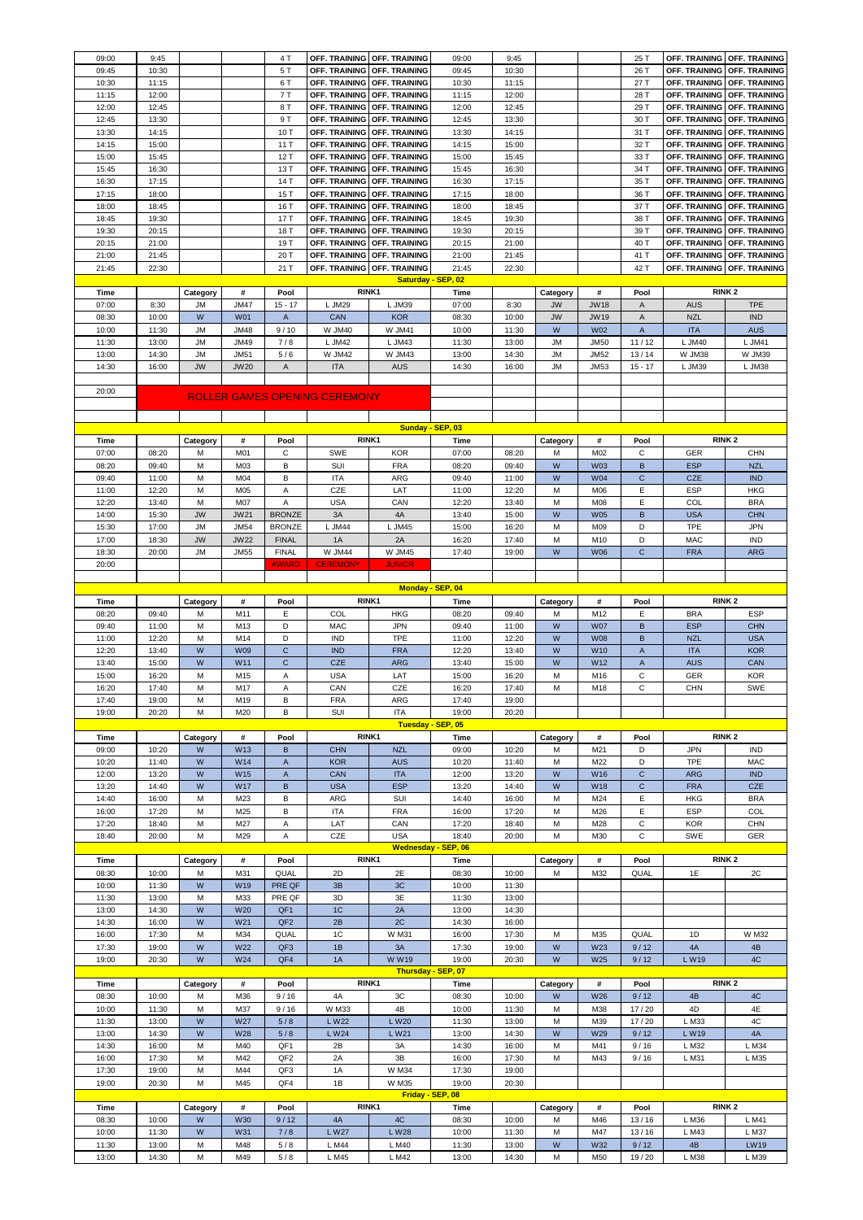| 09:00          | 9:45           |           |             | 4T              | <b>OFF. TRAINING</b>                 | OFF. TRAINING              | 09:00          | 9:45           |           |                 | 25 T           | OFF. TRAINING               | <b>OFF. TRAINING</b> |
|----------------|----------------|-----------|-------------|-----------------|--------------------------------------|----------------------------|----------------|----------------|-----------|-----------------|----------------|-----------------------------|----------------------|
| 09:45          | 10:30          |           |             | 5 T             | OFF. TRAINING                        | OFF. TRAINING              | 09:45          | 10:30          |           |                 | 26 T           | OFF. TRAINING               | OFF. TRAINING        |
| 10:30          | 11:15          |           |             | 6T              | OFF. TRAINING                        | OFF. TRAINING              | 10:30          | 11:15          |           |                 | 27 T           | OFF. TRAINING               | OFF. TRAINING        |
| 11:15          | 12:00          |           |             | 7T              | OFF. TRAINING                        | OFF. TRAINING              | 11:15          | 12:00          |           |                 | 28 T           | OFF. TRAINING               | <b>OFF. TRAINING</b> |
| 12:00          | 12:45          |           |             | 8 T             |                                      |                            | 12:00          | 12:45          |           |                 | 29 T           |                             |                      |
|                |                |           |             |                 | OFF. TRAINING                        | OFF. TRAINING              |                |                |           |                 |                | OFF. TRAINING               | OFF. TRAINING        |
| 12:45          | 13:30          |           |             | 9T              | OFF. TRAINING                        | OFF. TRAINING              | 12:45          | 13:30          |           |                 | 30 T           | OFF. TRAINING               | OFF. TRAINING        |
| 13:30          | 14:15          |           |             | 10 T            | OFF. TRAINING                        | OFF. TRAINING              | 13:30          | 14:15          |           |                 | 31 T           | OFF. TRAINING OFF. TRAINING |                      |
| 14:15          | 15:00          |           |             | 11T             | OFF. TRAINING                        | <b>OFF. TRAINING</b>       | 14:15          | 15:00          |           |                 | 32 T           | OFF. TRAINING               | OFF. TRAINING        |
| 15:00          | 15:45          |           |             | 12 T            | OFF. TRAINING                        | OFF. TRAINING              | 15:00          | 15:45          |           |                 | 33 T           | OFF. TRAINING               | OFF. TRAINING        |
| 15:45          | 16:30          |           |             | 13 T            | OFF. TRAINING                        | OFF. TRAINING              | 15:45          | 16:30          |           |                 | 34 T           | OFF. TRAINING               | OFF. TRAINING        |
| 16:30          | 17:15          |           |             | 14 T            | OFF. TRAINING                        | <b>OFF. TRAINING</b>       | 16:30          | 17:15          |           |                 | 35 T           | OFF. TRAINING               | OFF. TRAINING        |
| 17:15          | 18:00          |           |             | 15 T            | OFF. TRAINING                        | OFF. TRAINING              | 17:15          | 18:00          |           |                 | 36 T           | OFF. TRAINING               | OFF. TRAINING        |
| 18:00          | 18:45          |           |             | 16 T            | OFF. TRAINING                        | OFF. TRAINING              | 18:00          | 18:45          |           |                 | 37 T           | OFF. TRAINING               | OFF. TRAINING        |
| 18:45          | 19:30          |           |             | 17T             | OFF. TRAINING                        | <b>OFF. TRAINING</b>       | 18:45          | 19:30          |           |                 | 38 T           | OFF. TRAINING               | OFF. TRAINING        |
| 19:30          | 20:15          |           |             | 18 T            | OFF. TRAINING                        | OFF. TRAINING              | 19:30          | 20:15          |           |                 | 39 T           | OFF. TRAINING               | OFF. TRAINING        |
| 20:15          | 21:00          |           |             | 19 T            | OFF. TRAINING                        | OFF. TRAINING              | 20:15          | 21:00          |           |                 | 40 T           | OFF. TRAINING               | OFF. TRAINING        |
| 21:00          | 21:45          |           |             | 20 T            | OFF. TRAINING                        | OFF. TRAINING              | 21:00          | 21:45          |           |                 | 41 T           | OFF. TRAINING               | OFF. TRAINING        |
| 21:45          | 22:30          |           |             | 21 T            | OFF. TRAINING                        | OFF. TRAINING              | 21:45          | 22:30          |           |                 | 42 T           | OFF. TRAINING               | OFF. TRAINING        |
|                |                |           |             |                 |                                      | Saturday - SEP, 02         |                |                |           |                 |                |                             |                      |
| Time           |                | Category  | #           | Pool            | RINK1                                |                            | Time           |                | Category  | #               | Pool           |                             | RINK <sub>2</sub>    |
| 07:00          | 8:30           | <b>JM</b> | <b>JM47</b> | $15 - 17$       | L JM29                               | L JM39                     | 07:00          | 8:30           | <b>JW</b> | <b>JW18</b>     | A              | <b>AUS</b>                  | <b>TPE</b>           |
| 08:30          | 10:00          | W         | <b>W01</b>  | A               | CAN                                  | <b>KOR</b>                 | 08:30          | 10:00          | <b>JW</b> | <b>JW19</b>     | A              | <b>NZL</b>                  | <b>IND</b>           |
|                |                | <b>JM</b> | <b>JM48</b> |                 |                                      |                            |                |                | W         | W02             | $\overline{A}$ | <b>ITA</b>                  | <b>AUS</b>           |
| 10:00          | 11:30          |           |             | 9/10            | W JM40                               | <b>W JM41</b>              | 10:00          | 11:30          |           |                 |                |                             |                      |
| 11:30          | 13:00          | <b>JM</b> | JM49        | 7/8             | L JM42                               | L JM43                     | 11:30          | 13:00          | <b>JM</b> | <b>JM50</b>     | 11/12          | L JM40                      | L JM41               |
| 13:00          | 14:30          | <b>JM</b> | <b>JM51</b> | 5/6             | <b>W JM42</b>                        | <b>W JM43</b>              | 13:00          | 14:30          | <b>JM</b> | <b>JM52</b>     | 13/14          | W JM38                      | W JM39               |
| 14:30          | 16:00          | <b>JW</b> | <b>JW20</b> | Α               | <b>ITA</b>                           | <b>AUS</b>                 | 14:30          | 16:00          | <b>JM</b> | <b>JM53</b>     | $15 - 17$      | L JM39                      | L JM38               |
|                |                |           |             |                 |                                      |                            |                |                |           |                 |                |                             |                      |
| 20:00          |                |           |             |                 | <b>ROLLER GAMES OPENING CEREMONY</b> |                            |                |                |           |                 |                |                             |                      |
|                |                |           |             |                 |                                      |                            |                |                |           |                 |                |                             |                      |
|                |                |           |             |                 |                                      |                            |                |                |           |                 |                |                             |                      |
|                |                |           |             |                 |                                      | Sunday - SEP, 03           |                |                |           |                 |                |                             |                      |
| Time           |                | Category  | #           | Pool            | RINK1                                |                            | <b>Time</b>    |                | Category  | #               | Pool           |                             | RINK <sub>2</sub>    |
| 07:00          | 08:20          | M         | M01         | С               | SWE                                  | <b>KOR</b>                 | 07:00          | 08:20          | M         | M02             | C              | GER                         | <b>CHN</b>           |
| 08:20          | 09:40          | M         | M03         | в               | SUI                                  | FRA                        | 08:20          | 09:40          | W         | W03             | B              | <b>ESP</b>                  | <b>NZL</b>           |
| 09:40          | 11:00          | M         | M04         | B               | <b>ITA</b>                           | ARG                        | 09:40          | 11:00          | W         | <b>W04</b>      | $\mathbf C$    | CZE                         | <b>IND</b>           |
| 11:00          | 12:20          | М         | M05         | A               | CZE                                  | LAT                        | 11:00          | 12:20          | M         | M06             | E              | ESP                         | <b>HKG</b>           |
| 12:20          | 13:40          | M         | M07         | A               | <b>USA</b>                           | CAN                        | 12:20          | 13:40          | M         | M08             | E              | COL                         | <b>BRA</b>           |
| 14:00          | 15:30          | <b>JW</b> | <b>JW21</b> | <b>BRONZE</b>   | 3A                                   | 4A                         | 13:40          | 15:00          | W         | <b>W05</b>      | B              | <b>USA</b>                  | <b>CHN</b>           |
| 15:30          | 17:00          | <b>JM</b> | <b>JM54</b> | <b>BRONZE</b>   | L JM44                               | L JM45                     | 15:00          | 16:20          | M         | M09             | D              | <b>TPE</b>                  | <b>JPN</b>           |
|                |                |           |             |                 |                                      |                            |                |                |           |                 |                |                             |                      |
| 17:00          | 18:30          | <b>JW</b> | <b>JW22</b> | <b>FINAL</b>    | 1A                                   | 2A                         | 16:20          | 17:40          | M         | M10             | D              | <b>MAC</b>                  | <b>IND</b>           |
| 18:30          | 20:00          | <b>JM</b> | <b>JM55</b> | <b>FINAL</b>    | <b>W JM44</b>                        | W JM45                     | 17:40          | 19:00          | W         | <b>W06</b>      | $\mathbf C$    | <b>FRA</b>                  | <b>ARG</b>           |
| 20:00          |                |           |             | <b>AWARD</b>    | <b>CEREMONY</b>                      | <b>JUNIOR</b>              |                |                |           |                 |                |                             |                      |
|                |                |           |             |                 |                                      |                            |                |                |           |                 |                |                             |                      |
|                |                |           |             |                 |                                      | Monday - SEP, 04           |                |                |           |                 |                |                             |                      |
| Time           |                | Category  | #           | Pool            |                                      | RINK1                      | <b>Time</b>    |                | Category  | #               | Pool           |                             | RINK <sub>2</sub>    |
| 08:20          | 09:40          | M         | M11         | Е               | COL                                  | <b>HKG</b>                 | 08:20          | 09:40          | M         | M12             | Ε              | <b>BRA</b>                  | <b>ESP</b>           |
| 09:40          | 11:00          | M         | M13         | D               | <b>MAC</b>                           | <b>JPN</b>                 | 09:40          | 11:00          | W         | <b>W07</b>      | B              | <b>ESP</b>                  | <b>CHN</b>           |
| 11:00          | 12:20          | M         | M14         | D               | <b>IND</b>                           | <b>TPE</b>                 | 11:00          | 12:20          | W         | <b>W08</b>      | B              | <b>NZL</b>                  | <b>USA</b>           |
| 12:20          | 13:40          | W         | <b>W09</b>  | C               | <b>IND</b>                           | <b>FRA</b>                 | 12:20          | 13:40          | W         | W10             | $\mathsf A$    | <b>ITA</b>                  | <b>KOR</b>           |
| 13:40          | 15:00          | W         | W11         | $\mathbf C$     | CZE                                  | <b>ARG</b>                 | 13:40          | 15:00          | W         | W12             | $\overline{A}$ | <b>AUS</b>                  | CAN                  |
| 15:00          | 16:20          | M         | M15         | Α               | <b>USA</b>                           | LAT                        | 15:00          | 16:20          | M         | M16             | C              | GER                         | <b>KOR</b>           |
| 16:20          | 17:40          | M         | M17         | A               | CAN                                  | CZE                        | 16:20          | 17:40          | M         | M18             | C              | CHN                         | <b>SWE</b>           |
| 17:40          | 19:00          |           | M19         | В               | FRA                                  | ARG                        | 17:40          | 19:00          |           |                 |                |                             |                      |
| 19:00          |                |           |             |                 |                                      |                            |                |                |           |                 |                |                             |                      |
|                |                | М         |             |                 |                                      |                            |                |                |           |                 |                |                             |                      |
|                | 20:20          | М         | M20         | B               | SUI                                  | <b>ITA</b>                 | 19:00          | 20:20          |           |                 |                |                             |                      |
|                |                |           |             |                 |                                      | Tuesday - SEP. 05          |                |                |           |                 |                |                             |                      |
| Time           |                | Category  | #           | Pool            | RINK1                                |                            | Time           |                | Category  | #               | Pool           |                             | RINK <sub>2</sub>    |
| 09:00          | 10:20          | W         | W13         | B               | <b>CHN</b>                           | <b>NZL</b>                 | 09:00          | 10:20          | M         | M21             | D              | <b>JPN</b>                  | <b>IND</b>           |
| 10:20          | 11:40          | W         | W14         | $\sf A$         | <b>KOR</b>                           | <b>AUS</b>                 | 10:20          | 11:40          | M         | M22             | D              | <b>TPE</b>                  | <b>MAC</b>           |
| 12:00          | 13:20          | W         | W15         | $\sf A$         | CAN                                  | <b>ITA</b>                 | 12:00          | 13:20          | W         | W16             | $\mathbf{C}$   | <b>ARG</b>                  | <b>IND</b>           |
| 13:20          | 14:40          | W         | <b>W17</b>  | B               | <b>USA</b>                           | <b>ESP</b>                 | 13:20          | 14:40          | W         | W18             | $\mathbf C$    | <b>FRA</b>                  | CZE                  |
| 14:40          | 16:00          | M         | M23         | В               | ARG                                  | SUI                        | 14:40          | 16:00          | M         | M24             | E              | <b>HKG</b>                  | <b>BRA</b>           |
| 16:00          | 17:20          | M         | M25         | B               | <b>ITA</b>                           | <b>FRA</b>                 | 16:00          | 17:20          | M         | M26             | E              | ESP                         | COL                  |
| 17:20          | 18:40          | М         | M27         | $\mathsf A$     | LAT                                  | CAN                        | 17:20          | 18:40          | M         | M28             | $\mathsf C$    | <b>KOR</b>                  | CHN                  |
| 18:40          | 20:00          | М         | M29         | A               | CZE                                  | <b>USA</b>                 | 18:40          | 20:00          | М         | M30             | C              | SWE                         | GER                  |
|                |                |           |             |                 |                                      | <b>Wednesday - SEP, 06</b> |                |                |           |                 |                |                             |                      |
| Time           |                | Category  | #           | Pool            | RINK1                                |                            | <b>Time</b>    |                | Category  | #               | Pool           |                             | RINK <sub>2</sub>    |
| 08:30          | 10:00          | M         | M31         | QUAL            | 2D                                   | 2E                         | 08:30          | 10:00          | M         | M32             | QUAL           | 1E                          | 2C                   |
| 10:00          | 11:30          | W         | W19         | PRE QF          | 3B                                   | 3C                         | 10:00          | 11:30          |           |                 |                |                             |                      |
| 11:30          | 13:00          | M         | M33         | PRE QF          | 3D                                   | 3E                         | 11:30          | 13:00          |           |                 |                |                             |                      |
| 13:00          | 14:30          | W         | <b>W20</b>  | QF1             | 1C                                   | 2A                         | 13:00          | 14:30          |           |                 |                |                             |                      |
| 14:30          | 16:00          | W         | W21         | QF <sub>2</sub> | 2B                                   | 2C                         | 14:30          | 16:00          |           |                 |                |                             |                      |
| 16:00          | 17:30          | M         | M34         | QUAL            | 1C                                   | W M31                      | 16:00          | 17:30          | M         | M35             | QUAL           | 1D                          | <b>W M32</b>         |
| 17:30          | 19:00          | W         | W22         | QF3             | 1B                                   | 3A                         | 17:30          | 19:00          | W         | W23             | 9/12           | 4A                          | 4B                   |
| 19:00          | 20:30          | W         | W24         | QF4             | 1A                                   | <b>WW19</b>                | 19:00          | 20:30          | W         | W <sub>25</sub> | 9/12           | L W19                       | 4C                   |
|                |                |           |             |                 |                                      | Thursday - SEP, 07         |                |                |           |                 |                |                             |                      |
| Time           |                | Category  | #           | Pool            |                                      | RINK1                      | <b>Time</b>    |                | Category  | #               | Pool           |                             | RINK <sub>2</sub>    |
| 08:30          | 10:00          | М         | M36         | 9/16            | 4A                                   | 3C                         | 08:30          | 10:00          | ${\sf W}$ | W26             | 9/12           | 4B                          | 4C                   |
|                | 11:30          | M         | M37         | 9/16            | <b>W M33</b>                         | 4B                         |                | 11:30          | M         | M38             | 17/20          | 4D                          | 4E                   |
| 10:00          |                | W         | W27         |                 |                                      |                            | 10:00          |                | M         | M39             |                |                             |                      |
| 11:30          | 13:00          |           |             | 5/8             | L W22                                | L W20                      | 11:30          | 13:00          |           |                 | 17/20          | L M33                       | 4C                   |
| 13:00          | 14:30          | W         | <b>W28</b>  | 5/8             | L W24                                | L W21                      | 13:00          | 14:30          | W         | W29             | 9/12           | L W19                       | 4A                   |
| 14:30          | 16:00          | М         | M40         | QF1             | 2B                                   | 3A                         | 14:30          | 16:00          | M         | M41             | 9/16           | L M32                       | L M34                |
| 16:00          | 17:30          | М         | M42         | QF <sub>2</sub> | 2A                                   | 3B                         | 16:00          | 17:30          | M         | M43             | 9/16           | L M31                       | L M35                |
| 17:30          | 19:00          | М         | M44         | QF3             | 1A                                   | W M34                      | 17:30          | 19:00          |           |                 |                |                             |                      |
| 19:00          | 20:30          | М         | M45         | QF4             | 1B                                   | W M35                      | 19:00          | 20:30          |           |                 |                |                             |                      |
|                |                |           |             |                 |                                      | Friday - SEP, 08           |                |                |           |                 |                |                             |                      |
| Time           |                | Category  | #           | Pool            | RINK1                                |                            | <b>Time</b>    |                | Category  | #               | Pool           |                             | RINK <sub>2</sub>    |
| 08:30          | 10:00          | W         | W30         | 9/12            | 4A                                   | 4C                         | 08:30          | 10:00          | M         | M46             | 13/16          | L M36                       | L M41                |
| 10:00          | 11:30          | W         | W31         | 7/8             | L W27                                | L W28                      | 10:00          | 11:30          | M         | M47             | 13/16          | L M43                       | L M37                |
| 11:30<br>13:00 | 13:00<br>14:30 | M<br>М    | M48<br>M49  | 5/8<br>5/8      | L M44<br>L M45                       | L M40<br>L M42             | 11:30<br>13:00 | 13:00<br>14:30 | W<br>M    | W32<br>M50      | 9/12<br>19/20  | 4B<br>L M38                 | <b>LW19</b><br>L M39 |